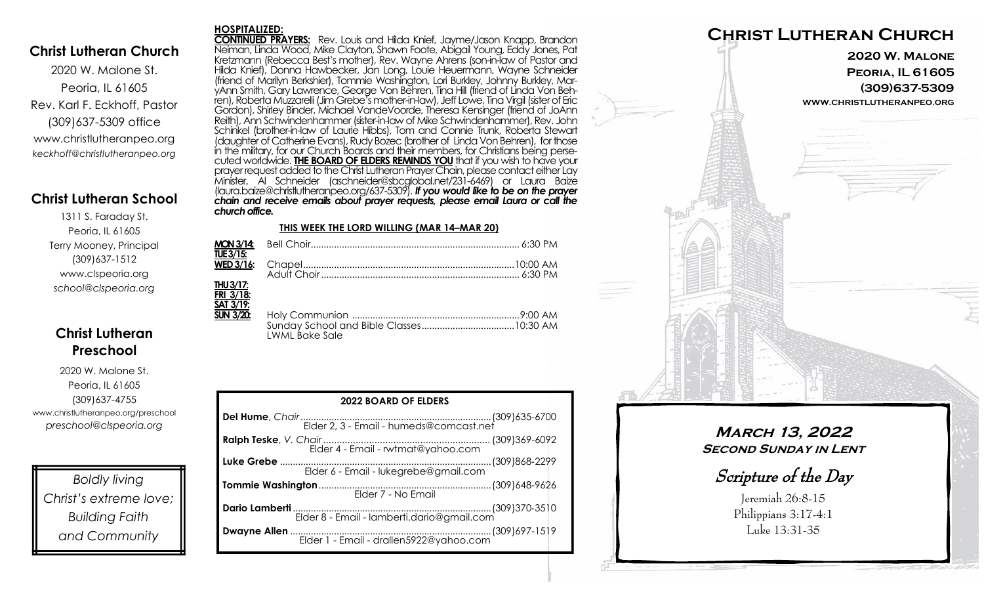## **Christ Lutheran Church**

2020 W. Malone St. Peoria, IL 61605 Rev. Karl F. Eckhoff, Pastor (309)637-5309 office www.christlutheranpeo.org *keckhoff@christlutheranpeo.org*

## **Christ Lutheran School**

1311 S. Faraday St. Peoria, IL 61605 Terry Mooney, Principal (309)637-1512 www.clspeoria.org *school@clspeoria.org*

## **Christ Lutheran Preschool**

2020 W. Malone St. Peoria, IL 61605 (309)637-4755 www.christlutheranpeo.org/preschool *preschool@clspeoria.org*

*Boldly living Christ's extreme love; Building Faith and Community*

#### **HOSPITALIZED:**

**CONTINUED PRAYERS:** Rev. Louis and Hilda Knief, Jayme/Jason Knapp, Brandon Neiman, Linda Wood, Mike Clayton, Shawn Foote, Abigail Young, Eddy Jones, Pat Kretzmann (Rebecca Best's mother), Rev. Wayne Ahrens (son-in-law of Pastor and Hilda Knief), Donna Hawbecker, Jan Long, Louie Heuermann, Wayne Schneider (friend of Marilyn Berkshier), Tommie Washington, Lori Burkley, Johnny Burkley, MaryAnn Smith, Gary Lawrence, George Von Behren, Tina Hill (friend of Linda Von Behren), Roberta Muzzarelli (Jim Grebe's mother-in-law), Jeff Lowe, Tina Virgil (sister of Eric Gordon), Shirley Binder, Michael VandeVoorde, Theresa Kensinger (friend of JoAnn Reith), Ann Schwindenhammer (sister-in-law of Mike Schwindenhammer), Rev. John Schinkel (brother-in-law of Laurie Hibbs), Tom and Connie Trunk, Roberta Stewart (daughter of Catherine Evans), Rudy Bozec (brother of Linda Von Behren), for those in the military, for our Church Boards and their members, for Christians being persecuted worldwide. **THE BOARD OF ELDERS REMINDS YOU** that if you wish to have your prayer request added to the Christ Lutheran Prayer Chain, please contact either Lay Minister, Al Schneider (aschneider@sbcglobal.net/231-6469) or Laura Baize (laura.baize@christlutheranpeo.org/637-5309). *If you would like to be on the prayer chain and receive emails about prayer requests, please email Laura or call the church office.*

#### **THIS WEEK THE LORD WILLING (MAR 14–MAR 20)**

| TUE 3/15:        |                       |  |
|------------------|-----------------------|--|
|                  |                       |  |
|                  |                       |  |
| <b>THU 3/17:</b> |                       |  |
| FRI 3/18:        |                       |  |
| SAT 3/19:        |                       |  |
| <b>SUN 3/20:</b> |                       |  |
|                  |                       |  |
|                  | <b>LWML Bake Sale</b> |  |

| <b>2022 BOARD OF ELDERS</b>                |  |  |  |
|--------------------------------------------|--|--|--|
|                                            |  |  |  |
| Elder 4 - Email - rwtmat@yahoo.com         |  |  |  |
| Elder 6 - Email - lukegrebe@gmail.com      |  |  |  |
| Elder 7 - No Email                         |  |  |  |
| Elder 8 - Email - lamberti.dario@gmail.com |  |  |  |
|                                            |  |  |  |



## **March 13, 2022 SECOND SUNDAY IN LENT**

Scripture of the Day

Jeremiah 26:8-15 Philippians 3:17-4:1 Luke 13:31-35